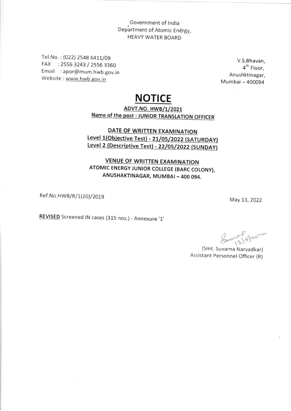# Government of India<br>Department of Atomic Energy, **HEAVY WATER BOARD**

Tel.No.: (022) 2548 6411/09 FAX : 2556 3243 / 2556 3360 Email : apor@mum.hwb.gov.in Website: www.hwb.gov.in

V.S.Bhavan, 4<sup>th</sup> Floor, Anushktinagar, Mumbai - 400094

## **NOTICE**

#### **ADVT.NO. HWB/1/2021** Name of the post : JUNIOR TRANSLATION OFFICER

### DATE OF WRITTEN EXAMINATION Level 1(Objective Test) - 21/05/2022 (SATURDAY) Level 2 (Descriptive Test) - 22/05/2022 (SUNDAY)

#### **VENUE OF WRITTEN EXAMINATION** ATOMIC ENERGY JUNIOR COLLEGE (BARC COLONY), ANUSHAKTINAGAR, MUMBAI - 400 094.

Ref.No.HWB/R/1(20)/2019

May 13, 2022

REVISED Screened IN cases (315 nos.) - Annexure '1'

Sung spor

(Smt. Suvarna Narvadkar) Assistant Personnel Officer (R)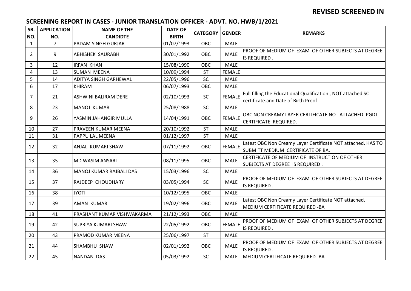### **REVISED SCREENED IN**

### **SCREENING REPORT IN CASES - JUNIOR TRANSLATION OFFICER - ADVT. NO. HWB/1/2021**

| SR.            | <b>APPLICATION</b> | <b>NAME OF THE</b>           | <b>DATE OF</b> | <b>CATEGORY</b> | <b>GENDER</b> | <b>REMARKS</b>                                                                                      |
|----------------|--------------------|------------------------------|----------------|-----------------|---------------|-----------------------------------------------------------------------------------------------------|
| NO.            | NO.                | <b>CANDIDTE</b>              | <b>BIRTH</b>   |                 |               |                                                                                                     |
| $\mathbf{1}$   | $\overline{7}$     | <b>PADAM SINGH GURJAR</b>    | 01/07/1993     | OBC             | <b>MALE</b>   |                                                                                                     |
| $\overline{2}$ | 9                  | <b>ABHISHEK SAURABH</b>      | 30/01/1992     | OBC             | <b>MALE</b>   | PROOF OF MEDIUM OF EXAM OF OTHER SUBJECTS AT DEGREE<br>IS REQUIRED.                                 |
| 3              | 12                 | <b>IRFAN KHAN</b>            | 15/08/1990     | OBC             | <b>MALE</b>   |                                                                                                     |
| $\overline{4}$ | 13                 | SUMAN MEENA                  | 10/09/1994     | <b>ST</b>       | <b>FEMALE</b> |                                                                                                     |
| 5              | 14                 | <b>ADITYA SINGH GARHEWAL</b> | 22/05/1996     | SC              | <b>MALE</b>   |                                                                                                     |
| 6              | 17                 | <b>KHIRAM</b>                | 06/07/1993     | OBC             | <b>MALE</b>   |                                                                                                     |
| $\overline{7}$ | 21                 | ASHWINI BALIRAM DERE         | 02/10/1993     | SC              | <b>FEMALE</b> | Full filling the Educational Qualification, NOT attached SC<br>certificate.and Date of Birth Proof. |
| 8              | 23                 | MANOJ KUMAR                  | 25/08/1988     | SC              | <b>MALE</b>   |                                                                                                     |
| 9              | 26                 | YASMIN JAHANGIR MULLA        | 14/04/1991     | OBC             | <b>FEMALE</b> | OBC NON CREAMY LAYER CERTIFICATE NOT ATTACHED. PGDT<br>CERTIFICATE REQUIRED.                        |
| 10             | 27                 | <b>PRAVEEN KUMAR MEENA</b>   | 20/10/1992     | <b>ST</b>       | <b>MALE</b>   |                                                                                                     |
| 11             | 31                 | <b>PAPPU LAL MEENA</b>       | 01/12/1997     | <b>ST</b>       | <b>MALE</b>   |                                                                                                     |
| 12             | 32                 | ANJALI KUMARI SHAW           | 07/11/1992     | OBC             | <b>FEMALE</b> | Latest OBC Non Creamy Layer Certificate NOT attached. HAS TO<br>SUBMITT MEDIUM CERTIFICATE OF BA.   |
| 13             | 35                 | <b>MD WASIM ANSARI</b>       | 08/11/1995     | <b>OBC</b>      | <b>MALE</b>   | CERTIFICATE OF MEDIUM OF INSTRUCTION OF OTHER<br>SUBJECTS AT DEGREE IS REQUIRED.                    |
| 14             | 36                 | MANOJ KUMAR RAJBALI DAS      | 15/03/1996     | SC              | <b>MALE</b>   |                                                                                                     |
| 15             | 37                 | <b>RAJDEEP CHOUDHARY</b>     | 03/05/1994     | SC              | <b>MALE</b>   | PROOF OF MEDIUM OF EXAM OF OTHER SUBJECTS AT DEGREE<br>IS REQUIRED.                                 |
| 16             | 38                 | <b>JYOTI</b>                 | 10/12/1995     | OBC             | <b>MALE</b>   |                                                                                                     |
| 17             | 39                 | <b>AMAN KUMAR</b>            | 19/02/1996     | OBC             | <b>MALE</b>   | Latest OBC Non Creamy Layer Certificate NOT attached.<br>MEDIUM CERTIFICATE REQUIRED - BA           |
| 18             | 41                 | PRASHANT KUMAR VISHWAKARMA   | 21/12/1993     | OBC             | <b>MALE</b>   |                                                                                                     |
| 19             | 42                 | <b>SUPRIYA KUMARI SHAW</b>   | 22/05/1992     | OBC             | <b>FEMALE</b> | PROOF OF MEDIUM OF EXAM OF OTHER SUBJECTS AT DEGREE<br>IS REQUIRED.                                 |
| 20             | 43                 | <b>PRAMOD KUMAR MEENA</b>    | 25/06/1997     | <b>ST</b>       | <b>MALE</b>   |                                                                                                     |
| 21             | 44                 | SHAMBHU SHAW                 | 02/01/1992     | OBC             | <b>MALE</b>   | PROOF OF MEDIUM OF EXAM OF OTHER SUBJECTS AT DEGREE<br>IS REQUIRED.                                 |
| 22             | 45                 | <b>NANDAN DAS</b>            | 05/03/1992     | <b>SC</b>       | <b>MALE</b>   | MEDIUM CERTIFICATE REQUIRED - BA                                                                    |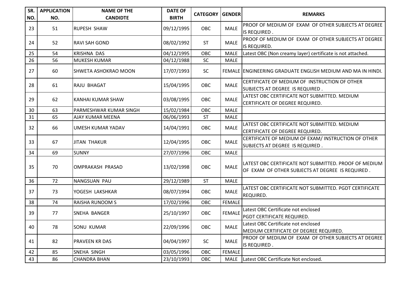| SR.<br>NO. | <b>APPLICATION</b><br>NO. | <b>NAME OF THE</b><br><b>CANDIDTE</b> | <b>DATE OF</b><br><b>BIRTH</b> | <b>CATEGORY GENDER</b> |               | <b>REMARKS</b>                                                                                            |
|------------|---------------------------|---------------------------------------|--------------------------------|------------------------|---------------|-----------------------------------------------------------------------------------------------------------|
| 23         | 51                        | <b>RUPESH SHAW</b>                    | 09/12/1995                     | OBC                    | <b>MALE</b>   | PROOF OF MEDIUM OF EXAM OF OTHER SUBJECTS AT DEGREE<br>IS REQUIRED.                                       |
| 24         | 52                        | <b>RAVI SAH GOND</b>                  | 08/02/1992                     | <b>ST</b>              | <b>MALE</b>   | PROOF OF MEDIUM OF EXAM OF OTHER SUBJECTS AT DEGREE<br>IS REQUIRED.                                       |
| 25         | 54                        | <b>KRISHNA DAS</b>                    | 04/12/1995                     | OBC                    | <b>MALE</b>   | Latest OBC (Non creamy layer) certificate is not attached.                                                |
| 26         | 56                        | <b>MUKESH KUMAR</b>                   | 04/12/1988                     | SC                     | <b>MALE</b>   |                                                                                                           |
| 27         | 60                        | SHWETA ASHOKRAO MOON                  | 17/07/1993                     | SC                     |               | FEMALE ENGINEERING GRADUATE ENGLISH MEDIUM AND MA IN HINDI.                                               |
| 28         | 61                        | <b>RAJU BHAGAT</b>                    | 15/04/1995                     | OBC                    | <b>MALE</b>   | CERTIFICATE OF MEDIUM OF INSTRUCTION OF OTHER<br>SUBJECTS AT DEGREE IS REQUIRED.                          |
| 29         | 62                        | KANHAI KUMAR SHAW                     | 03/08/1995                     | OBC                    | <b>MALE</b>   | LATEST OBC CERTIFICATE NOT SUBMITTED. MEDIUM<br>CERTIFICATE OF DEGREE REQUIRED.                           |
| 30         | 63                        | PARMESHWAR KUMAR SINGH                | 15/02/1984                     | OBC                    | <b>MALE</b>   |                                                                                                           |
| 31         | 65                        | AJAY KUMAR MEENA                      | 06/06/1993                     | <b>ST</b>              | <b>MALE</b>   |                                                                                                           |
| 32         | 66                        | UMESH KUMAR YADAV                     | 14/04/1991                     | <b>OBC</b>             | <b>MALE</b>   | LATEST OBC CERTIFICATE NOT SUBMITTED. MEDIUM<br>CERTIFICATE OF DEGREE REQUIRED.                           |
| 33         | 67                        | <b>JITAN THAKUR</b>                   | 12/04/1995                     | OBC                    | <b>MALE</b>   | CERTIFICATE OF MEDIUM OF EXAM/ INSTRUCTION OF OTHER<br>SUBJECTS AT DEGREE IS REQUIRED.                    |
| 34         | 69                        | <b>SUNNY</b>                          | 27/07/1996                     | OBC                    | <b>MALE</b>   |                                                                                                           |
| 35         | 70                        | OMPRAKASH PRASAD                      | 13/02/1998                     | OBC                    | <b>MALE</b>   | LATEST OBC CERTIFICATE NOT SUBMITTED. PROOF OF MEDIUM<br>OF EXAM OF OTHER SUBJECTS AT DEGREE IS REQUIRED. |
| 36         | 72                        | NANGSUAN PAU                          | 29/12/1989                     | <b>ST</b>              | <b>MALE</b>   |                                                                                                           |
| 37         | 73                        | YOGESH LAKSHKAR                       | 08/07/1994                     | OBC                    | <b>MALE</b>   | LATEST OBC CERTIFICATE NOT SUBMITTED. PGDT CERTIFICATE<br>REQUIRED.                                       |
| 38         | 74                        | <b>RAISHA RUNOOM S</b>                | 17/02/1996                     | OBC                    | <b>FEMALE</b> |                                                                                                           |
| 39         | 77                        | <b>SNEHA BANGER</b>                   | 25/10/1997                     | OBC                    | <b>FEMALE</b> | Latest OBC Certificate not enclosed<br>PGDT CERTIFICATE REQUIRED.                                         |
| 40         | 78                        | <b>SONU KUMAR</b>                     | 22/09/1996                     | OBC                    | <b>MALE</b>   | Latest OBC Certificate not enclosed<br>MEDIUM CERTIFICATE OF DEGREE REQUIRED.                             |
| 41         | 82                        | <b>PRAVEEN KR DAS</b>                 | 04/04/1997                     | <b>SC</b>              | <b>MALE</b>   | PROOF OF MEDIUM OF EXAM OF OTHER SUBJECTS AT DEGREE<br>IS REQUIRED.                                       |
| 42         | 85                        | SNEHA SINGH                           | 03/05/1996                     | OBC                    | <b>FEMALE</b> |                                                                                                           |
| 43         | 86                        | <b>CHANDRA BHAN</b>                   | 23/10/1993                     | OBC                    |               | MALE Latest OBC Certificate Not enclosed.                                                                 |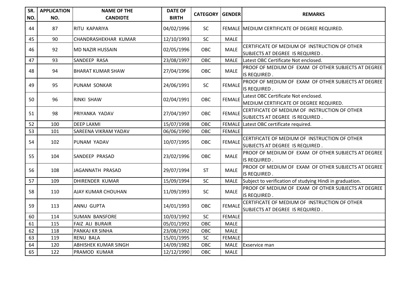| SR.<br>NO. | <b>APPLICATION</b><br>NO. | <b>NAME OF THE</b><br><b>CANDIDTE</b> | <b>DATE OF</b><br><b>BIRTH</b> | <b>CATEGORY GENDER</b> |               | <b>REMARKS</b>                                                                   |
|------------|---------------------------|---------------------------------------|--------------------------------|------------------------|---------------|----------------------------------------------------------------------------------|
| 44         | 87                        | RITU KAPARIYA                         | 04/02/1996                     | <b>SC</b>              |               | FEMALE MEDIUM CERTIFICATE OF DEGREE REQUIRED.                                    |
| 45         | 90                        | <b>CHANDRASHEKHAR KUMAR</b>           | 12/10/1993                     | SC                     | <b>MALE</b>   |                                                                                  |
| 46         | 92                        | <b>MD NAZIR HUSSAIN</b>               | 02/05/1996                     | OBC                    | <b>MALE</b>   | CERTIFICATE OF MEDIUM OF INSTRUCTION OF OTHER<br>SUBJECTS AT DEGREE IS REQUIRED. |
| 47         | 93                        | SANDEEP RASA                          | 23/08/1997                     | OBC                    | <b>MALE</b>   | Latest OBC Certificate Not enclosed.                                             |
| 48         | 94                        | <b>BHARAT KUMAR SHAW</b>              | 27/04/1996                     | OBC                    | <b>MALE</b>   | PROOF OF MEDIUM OF EXAM OF OTHER SUBJECTS AT DEGREE<br>IS REQUIRED.              |
| 49         | 95                        | PUNAM SONKAR                          | 24/06/1991                     | SC                     | <b>FEMALE</b> | PROOF OF MEDIUM OF EXAM OF OTHER SUBJECTS AT DEGREE<br>IS REQUIRED.              |
| 50         | 96                        | <b>RINKI SHAW</b>                     | 02/04/1991                     | <b>OBC</b>             | <b>FEMALE</b> | Latest OBC Certificate Not enclosed.<br>MEDIUM CERTIFICATE OF DEGREE REQUIRED.   |
| 51         | 98                        | PRIYANKA YADAV                        | 27/04/1997                     | OBC                    | <b>FEMALE</b> | CERTIFICATE OF MEDIUM OF INSTRUCTION OF OTHER<br>SUBJECTS AT DEGREE IS REQUIRED. |
| 52         | 100                       | <b>DEEP LAXMI</b>                     | 15/07/1998                     | OBC                    |               | FEMALE Latest OBC certificate required.                                          |
| 53         | 101                       | SAREENA VIKRAM YADAV                  | 06/06/1990                     | OBC                    | <b>FEMALE</b> |                                                                                  |
| 54         | 102                       | PUNAM YADAV                           | 10/07/1995                     | OBC                    | <b>FEMALE</b> | CERTIFICATE OF MEDIUM OF INSTRUCTION OF OTHER<br>SUBJECTS AT DEGREE IS REQUIRED. |
| 55         | 104                       | <b>SANDEEP PRASAD</b>                 | 23/02/1996                     | OBC                    | <b>MALE</b>   | PROOF OF MEDIUM OF EXAM OF OTHER SUBJECTS AT DEGREE<br>IS REQUIRED.              |
| 56         | 108                       | JAGANNATH PRASAD                      | 29/07/1994                     | <b>ST</b>              | <b>MALE</b>   | PROOF OF MEDIUM OF EXAM OF OTHER SUBJECTS AT DEGREE<br>IS REQUIRED.              |
| 57         | 109                       | DHIRENDER KUMAR                       | 15/09/1994                     | SC                     | <b>MALE</b>   | Subject to verification of studying Hindi in graduation.                         |
| 58         | 110                       | AJAY KUMAR CHOUHAN                    | 11/09/1993                     | <b>SC</b>              | <b>MALE</b>   | PROOF OF MEDIUM OF EXAM OF OTHER SUBJECTS AT DEGREE<br>IS REQUIRED.              |
| 59         | 113                       | <b>ANNU GUPTA</b>                     | 14/01/1993                     | <b>OBC</b>             | <b>FEMALE</b> | CERTIFICATE OF MEDIUM OF INSTRUCTION OF OTHER<br>SUBJECTS AT DEGREE IS REQUIRED. |
| 60         | 114                       | <b>SUMAN BANSFORE</b>                 | 10/03/1992                     | SC                     | <b>FEMALE</b> |                                                                                  |
| 61         | 115                       | FAIZ ALI BURAIR                       | 05/01/1992                     | OBC                    | <b>MALE</b>   |                                                                                  |
| 62         | 118                       | PANKAJ KR SINHA                       | 23/08/1992                     | OBC                    | <b>MALE</b>   |                                                                                  |
| 63         | 119                       | <b>RENU BALA</b>                      | 15/01/1995                     | SC                     | <b>FEMALE</b> |                                                                                  |
| 64         | 120                       | <b>ABHISHEK KUMAR SINGH</b>           | 14/09/1982                     | OBC                    | <b>MALE</b>   | Exservice man                                                                    |
| 65         | 122                       | PRAMOD KUMAR                          | 12/12/1990                     | OBC                    | <b>MALE</b>   |                                                                                  |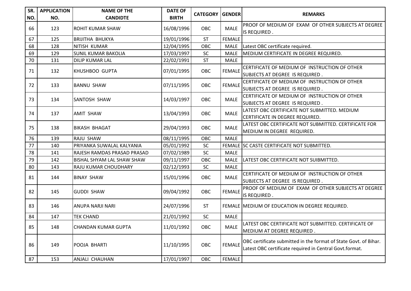| SR. | <b>APPLICATION</b> | <b>NAME OF THE</b>                | <b>DATE OF</b> | <b>CATEGORY GENDER</b> |               | <b>REMARKS</b>                                                                                                              |
|-----|--------------------|-----------------------------------|----------------|------------------------|---------------|-----------------------------------------------------------------------------------------------------------------------------|
| NO. | NO.                | <b>CANDIDTE</b>                   | <b>BIRTH</b>   |                        |               |                                                                                                                             |
| 66  | 123                | IROHIT KUMAR SHAW                 | 16/08/1996     | <b>OBC</b>             | <b>MALE</b>   | PROOF OF MEDIUM OF EXAM OF OTHER SUBJECTS AT DEGREE<br>IS REQUIRED.                                                         |
| 67  | 125                | <b>BRIJITHA BHUKYA</b>            | 19/01/1996     | <b>ST</b>              | <b>FEMALE</b> |                                                                                                                             |
| 68  | 128                | NITISH KUMAR                      | 12/04/1995     | OBC                    | <b>MALE</b>   | Latest OBC certificate required.                                                                                            |
| 69  | 129                | <b>SUNIL KUMAR BAKOLIA</b>        | 17/03/1997     | SC                     | <b>MALE</b>   | MEDIUM CERTIFICATE IN DEGREE REQUIRED.                                                                                      |
| 70  | 131                | <b>DILIP KUMAR LAL</b>            | 22/02/1991     | <b>ST</b>              | <b>MALE</b>   |                                                                                                                             |
| 71  | 132                | KHUSHBOO GUPTA                    | 07/01/1995     | OBC                    | <b>FEMALE</b> | CERTIFICATE OF MEDIUM OF INSTRUCTION OF OTHER<br>SUBJECTS AT DEGREE IS REQUIRED.                                            |
| 72  | 133                | <b>BANNU SHAW</b>                 | 07/11/1995     | OBC                    | <b>FEMALE</b> | CERTIFICATE OF MEDIUM OF INSTRUCTION OF OTHER<br>SUBJECTS AT DEGREE IS REQUIRED.                                            |
| 73  | 134                | <b>SANTOSH SHAW</b>               | 14/03/1997     | OBC                    | <b>MALE</b>   | CERTIFICATE OF MEDIUM OF INSTRUCTION OF OTHER<br>SUBJECTS AT DEGREE IS REQUIRED.                                            |
| 74  | 137                | <b>AMIT SHAW</b>                  | 13/04/1993     | OBC                    | <b>MALE</b>   | LATEST OBC CERTIFICATE NOT SUBMITTED. MEDIUM<br>CERTIFICATE IN DEGREE REQUIRED.                                             |
| 75  | 138                | <b>BIKASH BHAGAT</b>              | 29/04/1993     | OBC                    | <b>MALE</b>   | LATEST OBC CERTIFICATE NOT SUBMITTED. CERTIFICATE FOR<br>MEDIUM IN DEGREE REQUIRED.                                         |
| 76  | 139                | <b>RAJU SHAW</b>                  | 08/11/1995     | OBC                    | <b>MALE</b>   |                                                                                                                             |
| 77  | 140                | PRIYANKA SUWALAL KALYANIA         | 05/01/1992     | SC                     |               | FEMALE SC CASTE CERTIFICATE NOT SUBMITTED.                                                                                  |
| 78  | 141                | RAJESH RAMDAS PRASAD PRASAD       | 07/02/1989     | SC                     | <b>MALE</b>   |                                                                                                                             |
| 79  | 142                | <b>BISHAL SHYAM LAL SHAW SHAW</b> | 09/11/1997     | OBC                    | <b>MALE</b>   | LATEST OBC CERTIFICATE NOT SUIBMITTED.                                                                                      |
| 80  | 143                | RAJU KUMAR CHOUDHARY              | 02/12/1993     | SC                     | <b>MALE</b>   |                                                                                                                             |
| 81  | 144                | <b>BINAY SHAW</b>                 | 15/01/1996     | OBC                    | <b>MALE</b>   | CERTIFICATE OF MEDIUM OF INSTRUCTION OF OTHER<br>SUBJECTS AT DEGREE IS REQUIRED.                                            |
| 82  | 145                | <b>GUDDI SHAW</b>                 | 09/04/1992     | OBC                    | <b>FEMALE</b> | PROOF OF MEDIUM OF EXAM OF OTHER SUBJECTS AT DEGREE<br>IS REQUIRED.                                                         |
| 83  | 146                | ANUPA NARJI NARI                  | 24/07/1996     | <b>ST</b>              |               | FEMALE MEDIUM OF EDUCATION IN DEGREE REQUIRED.                                                                              |
| 84  | 147                | <b>TEK CHAND</b>                  | 21/01/1992     | SC                     | <b>MALE</b>   |                                                                                                                             |
| 85  | 148                | <b>CHANDAN KUMAR GUPTA</b>        | 11/01/1992     | OBC                    | <b>MALE</b>   | LATEST OBC CERTIFICATE NOT SUBMITTED. CERTIFICATE OF<br>MEDIUM AT DEGREE REQUIRED.                                          |
| 86  | 149                | POOJA BHARTI                      | 11/10/1995     | OBC                    | <b>FEMALE</b> | OBC certificate submitted in the format of State Govt. of Bihar.<br>Latest OBC certificate required in Central Govt.format. |
| 87  | 153                | <b>ANJALI CHAUHAN</b>             | 17/01/1997     | OBC                    | <b>FEMALE</b> |                                                                                                                             |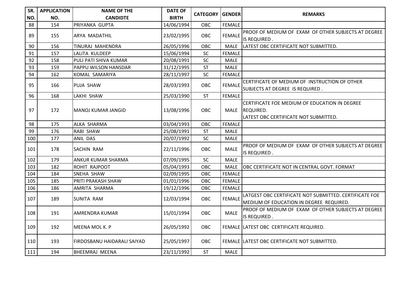| SR. | <b>APPLICATION</b> | <b>NAME OF THE</b>          | <b>DATE OF</b> |                 |               | <b>REMARKS</b>                                         |
|-----|--------------------|-----------------------------|----------------|-----------------|---------------|--------------------------------------------------------|
| NO. | NO.                | <b>CANDIDTE</b>             | <b>BIRTH</b>   | <b>CATEGORY</b> | <b>GENDER</b> |                                                        |
| 88  | 154                | PRIYANKA GUPTA              | 14/06/1994     | OBC             | <b>FEMALE</b> |                                                        |
| 89  | 155                | <b>ARYA MADATHIL</b>        | 23/02/1995     | OBC             | <b>FEMALE</b> | PROOF OF MEDIUM OF EXAM OF OTHER SUBJECTS AT DEGREE    |
|     |                    |                             |                |                 |               | IS REQUIRED.                                           |
| 90  | 156                | TINURAJ MAHENDRA            | 26/05/1996     | OBC             | <b>MALE</b>   | LATEST OBC CERTIFICATE NOT SUBMITTED.                  |
| 91  | 157                | LALITA KULDEEP              | 15/06/1994     | SC              | <b>FEMALE</b> |                                                        |
| 92  | 158                | PULI PATI SHIVA KUMAR       | 20/08/1991     | SC              | <b>MALE</b>   |                                                        |
| 93  | 159                | PAPPU WILSON HANSDAR        | 31/12/1995     | <b>ST</b>       | <b>MALE</b>   |                                                        |
| 94  | 162                | KOMAL SAMARIYA              | 28/11/1997     | SC              | <b>FEMALE</b> |                                                        |
| 95  | 166                | <b>PUJA SHAW</b>            | 28/03/1993     | OBC             | <b>FEMALE</b> | CERTIFICATE OF MEDIUM OF INSTRUCTION OF OTHER          |
|     |                    |                             |                |                 |               | SUBJECTS AT DEGREE IS REQUIRED.                        |
| 96  | 168                | <b>LAKHI SHAW</b>           | 25/03/1990     | <b>ST</b>       | <b>FEMALE</b> |                                                        |
|     |                    |                             |                |                 |               | CERTIFICATE FOE MEDIUM OF EDUCATION IN DEGREE          |
| 97  | 172                | MANOJ KUMAR JANGID          | 13/08/1996     | OBC             | MALE          | <b>REQUIRED.</b>                                       |
|     |                    |                             |                |                 |               | LATEST OBC CERTIFICATE NOT SUBMITTED.                  |
| 98  | 175                | ALKA SHARMA                 | 03/04/1993     | OBC             | <b>FEMALE</b> |                                                        |
| 99  | 176                | <b>RABI SHAW</b>            | 25/08/1991     | <b>ST</b>       | <b>MALE</b>   |                                                        |
| 100 | 177                | ANIL DAS                    | 20/07/1992     | SC              | <b>MALE</b>   |                                                        |
| 101 |                    |                             |                | OBC             | <b>MALE</b>   | PROOF OF MEDIUM OF EXAM OF OTHER SUBJECTS AT DEGREE    |
|     | 178                | <b>SACHIN RAM</b>           | 22/11/1996     |                 |               | IS REQUIRED.                                           |
| 102 | 179                | ANKUR KUMAR SHARMA          | 07/09/1995     | SC              | <b>MALE</b>   |                                                        |
| 103 | 182                | ROHIT RAJPOOT               | 05/04/1993     | OBC             | <b>MALE</b>   | OBC CERTIFICATE NOT IN CENTRAL GOVT. FORMAT            |
| 104 | 184                | SNEHA SHAW                  | 02/09/1995     | OBC             | <b>FEMALE</b> |                                                        |
| 105 | 185                | PRITI PRAKASH SHAW          | 01/01/1996     | OBC             | <b>FEMALE</b> |                                                        |
| 106 | 186                | AMRITA SHARMA               | 19/12/1996     | OBC             | <b>FEMALE</b> |                                                        |
|     |                    |                             |                |                 | <b>FEMALE</b> | LATGEST OBC CERTIFICATE NOT SUBMITTED. CERTIFICATE FOE |
| 107 | 189                | <b>SUNITA RAM</b>           | 12/03/1994     | OBC             |               | MEDIUM OF EDUCATION IN DEGREE REQUIRED.                |
|     |                    |                             |                |                 |               | PROOF OF MEDIUM OF EXAM OF OTHER SUBJECTS AT DEGREE    |
| 108 | 191                | AMRENDRA KUMAR              | 15/01/1994     | <b>OBC</b>      | <b>MALE</b>   | IS REQUIRED.                                           |
| 109 | 192                |                             |                | <b>OBC</b>      |               |                                                        |
|     |                    | MEENA MOL K. P              | 26/05/1992     |                 |               | FEMALE LATEST OBC CERTIFICATE REQUIRED.                |
|     |                    |                             |                |                 |               |                                                        |
| 110 | 193                | FIRDOSBANU HAIDARALI SAIYAD | 25/05/1997     | <b>OBC</b>      |               | FEMALE LATEST OBC CERTIFICATE NOT SUBMITTED.           |
| 111 | 194                | <b>BHEEMRAJ MEENA</b>       | 23/11/1992     | <b>ST</b>       | <b>MALE</b>   |                                                        |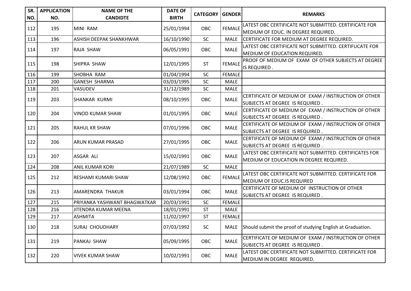| SR.<br>NO. | <b>APPLICATION</b><br>NO. | <b>NAME OF THE</b><br><b>CANDIDTE</b> | <b>DATE OF</b><br><b>BIRTH</b> | <b>CATEGORY GENDER</b>   |               | <b>REMARKS</b>                                                                                    |
|------------|---------------------------|---------------------------------------|--------------------------------|--------------------------|---------------|---------------------------------------------------------------------------------------------------|
| 112        | 195                       | MINI RAM                              | 25/01/1994                     | OBC                      | <b>FEMALE</b> | LATEST OBC CERTIFICATE NOT SUBMITTED. CERTIFICATE FOR<br>MEDIUM OF EDUC. IN DEGREE REQUIRED.      |
| 113        | 196                       | ASHISH DEEPAK SHANKHWAR               | 16/10/1990                     | SC                       | <b>MALE</b>   | CERTIFICATE FOR MEDIUM AT DEGREE REQUIRED.                                                        |
| 114        | 197                       | RAJA SHAW                             | 06/05/1991                     | OBC                      | <b>MALE</b>   | LATEST OBC CERTIFICATE NOT SUBMITTED. CERTIFUCATE FOR<br>MEDIUM OF EDUCATION REQUIRED.            |
| 115        | 198                       | <b>SHIPRA SHAW</b>                    | 12/01/1995                     | <b>ST</b>                | <b>FEMALE</b> | PROOF OF MEDIUM OF EXAM OF OTHER SUBJECTS AT DEGREE<br>IS REQUIRED.                               |
| 116        | 199                       | SHOBHA RAM                            | 01/04/1994                     | SC                       | <b>FEMALE</b> |                                                                                                   |
| 117        | 200                       | <b>GANESH SHARMA</b>                  | 03/03/1995                     | SC                       | <b>MALE</b>   |                                                                                                   |
| 118        | 201                       | VASUDEV                               | 31/12/1989                     | SC                       | <b>MALE</b>   |                                                                                                   |
| 119        | 203                       | SHANKAR KURMI                         | 08/10/1995                     | OBC                      | <b>MALE</b>   | CERTIFICATE OF MEDIUM OF EXAM / INSTRUCTION OF OTHER<br>SUBJECTS AT DEGREE IS REQUIRED.           |
| 120        | 204                       | VINOD KUMAR SHAW                      | 01/01/1995                     | OBC                      | <b>MALE</b>   | CERTIFICATE OF MEDIUM OF EXAM / INSTRUCTION OF OTHER<br>SUBJECTS AT DEGREE IS REQUIRED.           |
| 121        | 205                       | <b>RAHUL KR SHAW</b>                  | 07/01/1996                     | OBC                      | <b>MALE</b>   | CERTIFICATE OF MEDIUM OF EXAM / INSTRUCTION OF OTHER<br>SUBJECTS AT DEGREE IS REQUIRED.           |
| 122        | 206                       | ARUN KUMAR PRASAD                     | 27/01/1995                     | OBC                      | <b>MALE</b>   | CERTIFICATE OF MEDIUM OF EXAM / INSTRUCTION OF OTHER<br>SUBJECTS AT DEGREE IS REQUIRED.           |
| 123        | 207                       | ASGAR ALI                             | 15/02/1991                     | OBC                      | <b>MALE</b>   | LATEST OBC CERTIFICATE NOT SUBMITTED. CERTIFICATES FOR<br>MEDIUM OF EDUCATION IN DEGREE REQUIRED. |
| 124        | 208                       | <b>ANIL KUMAR KORI</b>                | 21/07/1989                     | SC                       | <b>MALE</b>   |                                                                                                   |
| 125        | 212                       | RESHAMI KUMARI SHAW                   | 12/08/1992                     | OBC                      | <b>FEMALE</b> | LATEST OBC CERTIFICATE NOT SUBMITTED. CERTIFICATE FOR<br>MEDIUM OF EDUC.IS REQUIRED               |
| 126        | 213                       | AMARENDRA THAKUR                      | 03/01/1994                     | <b>OBC</b>               | <b>MALE</b>   | CERTIFICATE OF MEDIUM OF INSTRUCTION OF OTHER<br>SUBJECTS AT DEGREE IS REQUIRED.                  |
| 127        | 215                       | PRIYANKA YASHWANT BHAGWATKAR          | 20/03/1991                     | SC                       | <b>FEMALE</b> |                                                                                                   |
| 128        | 216                       | JITENDRA KUMAR MEENA                  | 18/01/1991                     | $\overline{\mathsf{ST}}$ | <b>MALE</b>   |                                                                                                   |
| 129        | 217                       | <b>ASHMITA</b>                        | 11/02/1997                     | <b>ST</b>                | <b>FEMALE</b> |                                                                                                   |
| 130        | 218                       | <b>SURAJ CHOUDHARY</b>                | 07/03/1992                     | SC                       | MALE          | Should submit the proof of studying English at Graduation.                                        |
| 131        | 219                       | PANKAJ SHAW                           | 05/09/1995                     | OBC                      | <b>MALE</b>   | CERTIFICATE OF MEDIUM OF EXAM / INSTRUCTION OF OTHER<br>SUBJECTS AT DEGREE IS REQUIRED.           |
| 132        | 220                       | <b>VIVEK KUMAR SHAW</b>               | 10/02/1991                     | OBC                      | <b>MALE</b>   | LATEST OBC CERTIFICATE NOT SUBMITTED. CERTIFICATE FOR<br>MEDIUM IN DEGREE REQUIRED.               |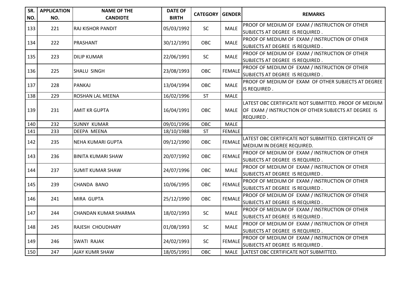| SR.<br>NO. | <b>APPLICATION</b><br>NO. | <b>NAME OF THE</b><br><b>CANDIDTE</b> | <b>DATE OF</b><br><b>BIRTH</b> | <b>CATEGORY</b> | <b>GENDER</b> | <b>REMARKS</b>                                                                                                             |
|------------|---------------------------|---------------------------------------|--------------------------------|-----------------|---------------|----------------------------------------------------------------------------------------------------------------------------|
| 133        | 221                       | <b>RAJ KISHOR PANDIT</b>              | 05/03/1992                     | SC              | <b>MALE</b>   | PROOF OF MEDIUM OF EXAM / INSTRUCTION OF OTHER<br>SUBJECTS AT DEGREE IS REQUIRED.                                          |
| 134        | 222                       | PRASHANT                              | 30/12/1991                     | OBC             | <b>MALE</b>   | PROOF OF MEDIUM OF EXAM / INSTRUCTION OF OTHER<br>SUBJECTS AT DEGREE IS REQUIRED.                                          |
| 135        | 223                       | <b>DILIP KUMAR</b>                    | 22/06/1991                     | SC              | <b>MALE</b>   | PROOF OF MEDIUM OF EXAM / INSTRUCTION OF OTHER<br>SUBJECTS AT DEGREE IS REQUIRED.                                          |
| 136        | 225                       | SHALU SINGH                           | 23/08/1993                     | OBC             | <b>FEMALE</b> | PROOF OF MEDIUM OF EXAM / INSTRUCTION OF OTHER<br>SUBJECTS AT DEGREE IS REQUIRED.                                          |
| 137        | 228                       | PANKAJ                                | 13/04/1994                     | OBC             | <b>MALE</b>   | PROOF OF MEDIUM OF EXAM OF OTHER SUBJECTS AT DEGREE<br>IS REQUIRED.                                                        |
| 138        | 229                       | ROSHAN LAL MEENA                      | 16/02/1996                     | <b>ST</b>       | <b>MALE</b>   |                                                                                                                            |
| 139        | 231                       | <b>AMIT KR GUPTA</b>                  | 16/04/1991                     | OBC             | MALE          | LATEST OBC CERTIFICATE NOT SUBMITTED. PROOF OF MEDIUM<br>OF EXAM / INSTRUCTION OF OTHER SUBJECTS AT DEGREE IS<br>REQUIRED. |
| 140        | 232                       | <b>SUNNY KUMAR</b>                    | 09/01/1996                     | OBC             | <b>MALE</b>   |                                                                                                                            |
| 141        | 233                       | <b>DEEPA MEENA</b>                    | 18/10/1988                     | ST              | <b>FEMALE</b> |                                                                                                                            |
| 142        | 235                       | INEHA KUMARI GUPTA                    | 09/12/1990                     | OBC             | <b>FEMALE</b> | LATEST OBC CERTIFICATE NOT SUBMITTED. CERTIFICATE OF<br>MEDIUM IN DEGREE REQUIRED.                                         |
| 143        | 236                       | <b>BINITA KUMARI SHAW</b>             | 20/07/1992                     | OBC             | <b>FEMALE</b> | PROOF OF MEDIUM OF EXAM / INSTRUCTION OF OTHER<br>SUBJECTS AT DEGREE IS REQUIRED.                                          |
| 144        | 237                       | <b>SUMIT KUMAR SHAW</b>               | 24/07/1996                     | OBC             | <b>MALE</b>   | PROOF OF MEDIUM OF EXAM / INSTRUCTION OF OTHER<br>SUBJECTS AT DEGREE IS REQUIRED.                                          |
| 145        | 239                       | CHANDA BANO                           | 10/06/1995                     | OBC             | <b>FEMALE</b> | PROOF OF MEDIUM OF EXAM / INSTRUCTION OF OTHER<br>SUBJECTS AT DEGREE IS REQUIRED.                                          |
| 146        | 241                       | MIRA GUPTA                            | 25/12/1990                     | OBC             | <b>FEMALE</b> | PROOF OF MEDIUM OF EXAM / INSTRUCTION OF OTHER<br>SUBJECTS AT DEGREE IS REQUIRED.                                          |
| 147        | 244                       | <b>CHANDAN KUMAR SHARMA</b>           | 18/02/1993                     | SC              | <b>MALE</b>   | PROOF OF MEDIUM OF EXAM / INSTRUCTION OF OTHER<br>SUBJECTS AT DEGREE IS REQUIRED.                                          |
| 148        | 245                       | <b>RAJESH CHOUDHARY</b>               | 01/08/1993                     | SC              | <b>MALE</b>   | PROOF OF MEDIUM OF EXAM / INSTRUCTION OF OTHER<br>SUBJECTS AT DEGREE IS REQUIRED.                                          |
| 149        | 246                       | <b>SWATI RAJAK</b>                    | 24/02/1993                     | SC              | <b>FEMALE</b> | PROOF OF MEDIUM OF EXAM / INSTRUCTION OF OTHER<br>SUBJECTS AT DEGREE IS REQUIRED.                                          |
| 150        | 247                       | <b>AJAY KUMR SHAW</b>                 | 18/05/1991                     | OBC             |               | MALE   LATEST OBC CERTIFICATE NOT SUBMITTED.                                                                               |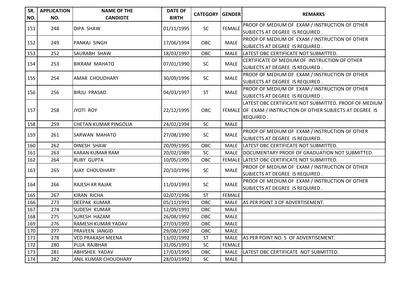| SR.<br>NO. | <b>APPLICATION</b><br>NO. | <b>NAME OF THE</b><br><b>CANDIDTE</b> | <b>DATE OF</b><br><b>BIRTH</b> | <b>CATEGORY   GENDER</b> |               | <b>REMARKS</b>                                                                                                                    |
|------------|---------------------------|---------------------------------------|--------------------------------|--------------------------|---------------|-----------------------------------------------------------------------------------------------------------------------------------|
| 151        | 248                       | <b>DIPA SHAW</b>                      | 01/11/1995                     | SC                       | <b>FEMALE</b> | PROOF OF MEDIUM OF EXAM / INSTRUCTION OF OTHER<br>SUBJECTS AT DEGREE IS REQUIRED.                                                 |
| 152        | 249                       | PANKAJ SINGH                          | 17/06/1994                     | OBC                      | <b>MALE</b>   | PROOF OF MEDIUM OF EXAM / INSTRUCTION OF OTHER<br>SUBJECTS AT DEGREE IS REQUIRED.                                                 |
| 153        | 252                       | SAURABH SHAW                          | 18/03/1997                     | OBC                      | <b>MALE</b>   | LATEST OBC CERTIFICATE NOT SUBMITTED.                                                                                             |
| 154        | 253                       | <b>BIKRAM MAHATO</b>                  | 07/01/1990                     | <b>SC</b>                | <b>MALE</b>   | CERTIFICATE OF MEDIUM OF INSTRUCTION OF OTHER<br>SUBJECTS AT DEGREE IS REQUIRED.                                                  |
| 155        | 254                       | <b>AMAR CHOUDHARY</b>                 | 30/09/1996                     | <b>SC</b>                | <b>MALE</b>   | PROOF OF MEDIUM OF EXAM / INSTRUCTION OF OTHER<br>SUBJECTS AT DEGREE IS REQUIRED.                                                 |
| 156        | 256                       | BIRJU PRASAD                          | 04/03/1997                     | <b>ST</b>                | <b>MALE</b>   | PROOF OF MEDIUM OF EXAM / INSTRUCTION OF OTHER<br>SUBJECTS AT DEGREE IS REQUIRED.                                                 |
| 157        | 258                       | JYOTI ROY                             | 22/12/1995                     | OBC                      |               | LATEST OBC CERTIFICATE NOT SUBMITTED. PROOF OF MEDIUM<br>FEMALE OF EXAM / INSTRUCTION OF OTHER SUBJECTS AT DEGREE IS<br>REQUIRED. |
| 158        | 259                       | <b>CHETAN KUMAR PINGOLIA</b>          | 24/02/1994                     | SC                       | <b>MALE</b>   |                                                                                                                                   |
| 159        | 261                       | SARWAN MAHATO                         | 27/08/1990                     | SC                       | <b>MALE</b>   | PROOF OF MEDIUM OF EXAM / INSTRUCTION OF OTHER<br>SUBJECTS AT DEGREE IS REQUIRED.                                                 |
| 160        | 262                       | DINESH SHAW                           | 20/09/1995                     | OBC                      | <b>MALE</b>   | LATEST OBC CERTIFICATE NOT SUBMITTED.                                                                                             |
| 161        | 263                       | <b>KARAN KUMAR RAM</b>                | 20/02/1989                     | SC                       | <b>MALE</b>   | DOCUMENTARY PROOF OF GRADUATION NOT SUBMITTED.                                                                                    |
| 162        | 264                       | <b>RUBY GUPTA</b>                     | 10/05/1995                     | OBC                      |               | FEMALE LATEST OBC CERTIFICATE NOT SUBMITTED.                                                                                      |
| 163        | 265                       | <b>AJAY CHOUDHARY</b>                 | 20/10/1996                     | <b>SC</b>                | <b>MALE</b>   | PROOF OF MEDIUM OF EXAM / INSTRUCTION OF OTHER<br>SUBJECTS AT DEGREE IS REQUIRED.                                                 |
| 164        | 266                       | IRAJESH KR RAJAK                      | 11/03/1993                     | <b>SC</b>                | <b>MALE</b>   | PROOF OF MEDIUM OF EXAM / INSTRUCTION OF OTHER<br>SUBJECTS AT DEGREE IS REQUIRED.                                                 |
| 165        | 267                       | <b>KIRAN RICHA</b>                    | 02/07/1996                     | <b>ST</b>                | <b>FEMALE</b> |                                                                                                                                   |
| 166        | 273                       | DEEPAK KUMAR                          | 05/11/1991                     | <b>OBC</b>               | <b>MALE</b>   | AS PER POINT 3 OF ADVERTISEMENT.                                                                                                  |
| 167        | 274                       | SUDESH KUMAR                          | 12/09/1991                     | OBC                      | <b>MALE</b>   |                                                                                                                                   |
| 168        | 275                       | SURESH HAZAM                          | 26/08/1992                     | OBC                      | <b>MALE</b>   |                                                                                                                                   |
| 169        | 276                       | RAMESH KUMAR YADAV                    | 27/03/1992                     | OBC                      | <b>MALE</b>   |                                                                                                                                   |
| 170        | 277                       | PRAVEEN JANGID                        | 29/08/1992                     | OBC                      | <b>MALE</b>   |                                                                                                                                   |
| 171        | 278                       | <b>VED PRAKASH MEENA</b>              | 13/02/1992                     | <b>ST</b>                | MALE          | AS PER POINT NO. 5 OF ADVERTISEMENT.                                                                                              |
| 172        | 280                       | PUJA RAJBHAR                          | 31/05/1991                     | SC                       | <b>FEMALE</b> |                                                                                                                                   |
| 173        | 281                       | <b>ABHISHEK YADAV</b>                 | 17/03/1995                     | OBC                      | <b>MALE</b>   | LATEST OBC CERTIFICATE NOT SUBMITTED.                                                                                             |
| 174        | 282                       | ANIL KUMAR CHOUDHARY                  | 28/03/1992                     | SC                       | <b>MALE</b>   |                                                                                                                                   |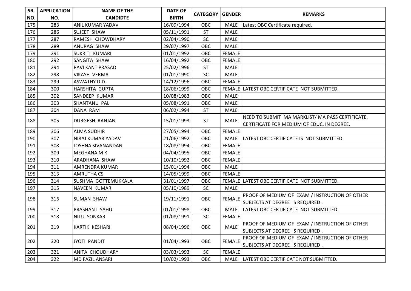| SR. | <b>APPLICATION</b> | <b>NAME OF THE</b>     | <b>DATE OF</b> | <b>CATEGORY</b> | GENDER        |                                                       |
|-----|--------------------|------------------------|----------------|-----------------|---------------|-------------------------------------------------------|
| NO. | NO.                | <b>CANDIDTE</b>        | <b>BIRTH</b>   |                 |               | <b>REMARKS</b>                                        |
| 175 | 283                | ANIL KUMAR YADAV       | 16/09/1994     | OBC             | <b>MALE</b>   | Latest OBC Certificate required.                      |
| 176 | 286                | <b>SUJEET SHAW</b>     | 05/11/1991     | <b>ST</b>       | <b>MALE</b>   |                                                       |
| 177 | 287                | RAMESH CHOWDHARY       | 02/04/1990     | SC              | <b>MALE</b>   |                                                       |
| 178 | 289                | ANURAG SHAW            | 29/07/1997     | OBC             | <b>MALE</b>   |                                                       |
| 179 | 291                | SUKRITI KUMARI         | 01/01/1992     | <b>OBC</b>      | <b>FEMALE</b> |                                                       |
| 180 | 292                | SANGITA SHAW           | 16/04/1992     | OBC             | <b>FEMALE</b> |                                                       |
| 181 | 294                | RAVI KANT PRASAD       | 25/02/1996     | <b>ST</b>       | <b>MALE</b>   |                                                       |
| 182 | 298                | <b>VIKASH VERMA</b>    | 01/01/1990     | SC              | <b>MALE</b>   |                                                       |
| 183 | 299                | ASWATHY D.D.           | 14/12/1996     | OBC             | <b>FEMALE</b> |                                                       |
| 184 | 300                | HARSHITA GUPTA         | 18/06/1999     | OBC             |               | FEMALE LATEST OBC CERTIFICATE NOT SUBMITTED.          |
| 185 | 302                | SANDEEP KUMAR          | 10/08/1983     | <b>OBC</b>      | <b>MALE</b>   |                                                       |
| 186 | 303                | SHANTANU PAL           | 05/08/1991     | OBC             | <b>MALE</b>   |                                                       |
| 187 | 304                | DANA RAM               | 06/02/1994     | <b>ST</b>       | <b>MALE</b>   |                                                       |
| 188 | 305                | DURGESH RANJAN         |                | <b>ST</b>       | <b>MALE</b>   | NEED TO SUBMIT MA MARKLIST/MA PASS CERTIFICATE.       |
|     |                    |                        | 15/01/1993     |                 |               | CERTIFICATE FOR MEDIUM OF EDUC. IN DEGREE.            |
| 189 | 306                | <b>ALMA SUDHIR</b>     | 27/05/1994     | OBC             | <b>FEMALE</b> |                                                       |
| 190 | 307                | NIRAJ KUMAR YADAV      | 21/06/1992     | OBC             | MALE          | LATEST OBC CERTIFICATE IS NOT SUBMITTED.              |
| 191 | 308                | JOSHNA SIVANANDAN      | 18/08/1994     | OBC             | <b>FEMALE</b> |                                                       |
| 192 | 309                | MEGHANA M K            | 04/04/1995     | OBC             | <b>FEMALE</b> |                                                       |
| 193 | 310                | ARADHANA SHAW          | 10/10/1992     | OBC             | <b>FEMALE</b> |                                                       |
| 194 | 311                | AMRENDRA KUMAR         | 15/01/1994     | OBC             | <b>MALE</b>   |                                                       |
| 195 | 313                | <b>AMRUTHA CS</b>      | 14/05/1999     | OBC             | <b>FEMALE</b> |                                                       |
| 196 | 314                | SUSHMA GOTTEMUKKALA    | 31/01/1997     | OBC             |               | FEMALE LATEST OBC CERTIFICATE NOT SUBMITTED.          |
| 197 | 315                | NAVEEN KUMAR           | 05/10/1989     | SC              | <b>MALE</b>   |                                                       |
| 198 |                    | <b>SUMAN SHAW</b>      | 19/11/1991     | OBC             | <b>FEMALE</b> | PROOF OF MEDIUM OF EXAM / INSTRUCTION OF OTHER        |
|     | 316                |                        |                |                 |               | SUBJECTS AT DEGREE IS REQUIRED.                       |
| 199 | 317                | PRASHANT SAHU          | 01/01/1998     | OBC             | <b>MALE</b>   | LATEST OBC CERTIFICATE NOT SUBMITTED.                 |
| 200 | 318                | NITU SONKAR            | 01/08/1991     | <b>SC</b>       | <b>FEMALE</b> |                                                       |
| 201 | 319                | KARTIK KESHARI         | 08/04/1996     | OBC             | MALE          | <b>PROOF OF MEDIUM OF EXAM / INSTRUCTION OF OTHER</b> |
|     |                    |                        |                |                 |               | SUBJECTS AT DEGREE IS REQUIRED.                       |
|     |                    |                        | 01/04/1993     | OBC             | <b>FEMALE</b> | PROOF OF MEDIUM OF EXAM / INSTRUCTION OF OTHER        |
| 202 | 320                | <b>JYOTI PANDIT</b>    |                |                 |               | SUBJECTS AT DEGREE IS REQUIRED.                       |
| 203 | 321                | ANITA CHOUDHARY        | 03/03/1993     | SC              | <b>FEMALE</b> |                                                       |
| 204 | 322                | <b>MD FAZIL ANSARI</b> | 10/02/1993     | OBC             | <b>MALE</b>   | LATEST OBC CERTIFICATE NOT SUBMITTED.                 |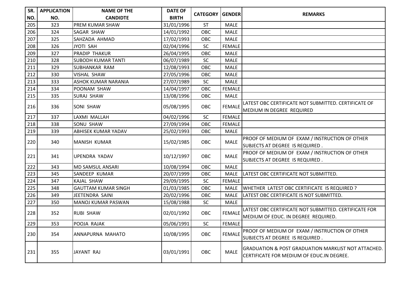| SR. | <b>APPLICATION</b> | <b>NAME OF THE</b>         | <b>DATE OF</b> | <b>CATEGORY GENDER</b> |               |                                                                |
|-----|--------------------|----------------------------|----------------|------------------------|---------------|----------------------------------------------------------------|
| NO. | NO.                | <b>CANDIDTE</b>            | <b>BIRTH</b>   |                        |               | <b>REMARKS</b>                                                 |
| 205 | 323                | <b>PREM KUMAR SHAW</b>     | 31/01/1996     | <b>ST</b>              | <b>MALE</b>   |                                                                |
| 206 | 324                | SAGAR SHAW                 | 14/01/1992     | OBC                    | <b>MALE</b>   |                                                                |
| 207 | 325                | SAHZADA AHMAD              | 17/02/1993     | OBC                    | <b>MALE</b>   |                                                                |
| 208 | 326                | JYOTI SAH                  | 02/04/1996     | <b>SC</b>              | <b>FEMALE</b> |                                                                |
| 209 | 327                | <b>PRADIP THAKUR</b>       | 26/04/1995     | OBC                    | <b>MALE</b>   |                                                                |
| 210 | 328                | <b>SUBODH KUMAR TANTI</b>  | 06/07/1989     | SC                     | <b>MALE</b>   |                                                                |
| 211 | 329                | <b>SUBHANKAR RAM</b>       | 12/08/1993     | OBC                    | <b>MALE</b>   |                                                                |
| 212 | 330                | <b>VISHAL SHAW</b>         | 27/05/1996     | OBC                    | <b>MALE</b>   |                                                                |
| 213 | 333                | <b>ASHOK KUMAR NARANIA</b> | 27/07/1989     | <b>SC</b>              | <b>MALE</b>   |                                                                |
| 214 | 334                | POONAM SHAW                | 14/04/1997     | OBC                    | <b>FEMALE</b> |                                                                |
| 215 | 335                | <b>SURAJ SHAW</b>          | 13/08/1996     | OBC                    | <b>MALE</b>   |                                                                |
| 216 | 336                | <b>SONI SHAW</b>           | 05/08/1995     | OBC                    | <b>FEMALE</b> | LATEST OBC CERTIFICATE NOT SUBMITTED. CERTIFICATE OF           |
|     |                    |                            |                |                        |               | MEDIUM IN DEGREE REQUIRED                                      |
| 217 | 337                | LAXMI MALLAH               | 04/02/1996     | SC                     | <b>FEMALE</b> |                                                                |
| 218 | 338                | SONU SHAW                  | 27/09/1994     | OBC                    | <b>FEMALE</b> |                                                                |
| 219 | 339                | ABHISEK KUMAR YADAV        | 25/02/1993     | OBC                    | <b>MALE</b>   |                                                                |
| 220 | 340                | <b>MANISH KUMAR</b>        | 15/02/1985     | OBC                    | <b>MALE</b>   | PROOF OF MEDIUM OF EXAM / INSTRUCTION OF OTHER                 |
|     |                    |                            |                |                        |               | SUBJECTS AT DEGREE IS REQUIRED.                                |
| 221 | 341                | <b>UPENDRA YADAV</b>       | 10/12/1997     | OBC                    | <b>MALE</b>   | PROOF OF MEDIUM OF EXAM / INSTRUCTION OF OTHER                 |
|     |                    |                            |                |                        |               | SUBJECTS AT DEGREE IS REQUIRED.                                |
| 222 | 343                | <b>MD SAMSUL ANSARI</b>    | 10/08/1994     | OBC                    | MALE          |                                                                |
| 223 | 345                | <b>SANDEEP KUMAR</b>       | 20/07/1999     | OBC                    | MALE          | LATEST OBC CERTIFICATE NOT SUBMITTED.                          |
| 224 | 347                | KAJAL SHAW                 | 29/09/1995     | <b>SC</b>              | <b>FEMALE</b> |                                                                |
| 225 | 348                | <b>GAUTTAM KUMAR SINGH</b> | 01/03/1985     | OBC                    | <b>MALE</b>   | WHETHER LATEST OBC CERTIFICATE IS REQUIRED ?                   |
| 226 | 349                | JEETENDRA SAINI            | 20/02/1996     | OBC                    | <b>MALE</b>   | LATEST OBC CERTIFICATE IS NOT SUBMITTED.                       |
| 227 | 350                | MANOJ KUMAR PASWAN         | 15/08/1988     | <b>SC</b>              | MALE          |                                                                |
| 228 | 352                | <b>RUBI SHAW</b>           | 02/01/1992     | OBC                    | <b>FEMALE</b> | LATEST OBC CERTIFICATE NOT SUBMITTED. CERTIFICATE FOR          |
|     |                    |                            |                |                        |               | MEDIUM OF EDUC. IN DEGREE REQUIRED.                            |
| 229 | 353                | POOJA RAJAK                | 05/06/1991     | SC                     | FEMALE        |                                                                |
| 230 | 354                | ANNAPURNA MAHATO           |                | OBC                    | <b>FEMALE</b> | PROOF OF MEDIUM OF EXAM / INSTRUCTION OF OTHER                 |
|     |                    |                            | 10/08/1995     |                        |               | SUBJECTS AT DEGREE IS REQUIRED.                                |
|     |                    |                            |                |                        |               | <b>GRADUATION &amp; POST GRADUATION MARKLIST NOT ATTACHED.</b> |
| 231 | 355                | JAYANT RAJ                 | 03/01/1991     | OBC                    | <b>MALE</b>   | CERTIFICATE FOR MEDIUM OF EDUC.IN DEGREE.                      |
|     |                    |                            |                |                        |               |                                                                |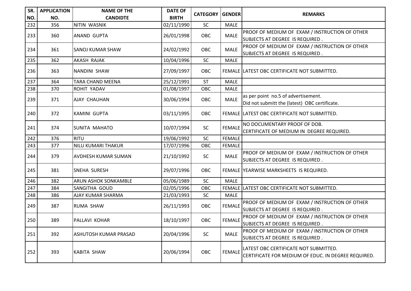| SR. | <b>APPLICATION</b> | <b>NAME OF THE</b>          | <b>DATE OF</b> | <b>CATEGORY   GENDER</b> |               | <b>REMARKS</b>                                                                    |
|-----|--------------------|-----------------------------|----------------|--------------------------|---------------|-----------------------------------------------------------------------------------|
| NO. | NO.                | <b>CANDIDTE</b>             | <b>BIRTH</b>   |                          |               |                                                                                   |
| 232 | 356                | NITIN WASNIK                | 02/11/1990     | SC                       | <b>MALE</b>   |                                                                                   |
| 233 | 360                | <b>ANAND GUPTA</b>          | 26/01/1998     | OBC                      | <b>MALE</b>   | PROOF OF MEDIUM OF EXAM / INSTRUCTION OF OTHER                                    |
|     |                    |                             |                |                          |               | SUBJECTS AT DEGREE IS REQUIRED.                                                   |
| 234 | 361                | <b>SANOJ KUMAR SHAW</b>     | 24/02/1992     | OBC                      | <b>MALE</b>   | PROOF OF MEDIUM OF EXAM / INSTRUCTION OF OTHER                                    |
|     |                    |                             |                |                          |               | SUBJECTS AT DEGREE IS REQUIRED.                                                   |
| 235 | 362                | AKASH RAJAK                 | 10/04/1996     | SC                       | <b>MALE</b>   |                                                                                   |
| 236 | 363                | <b>NANDINI SHAW</b>         | 27/09/1997     | OBC                      |               | FEMALE LATEST OBC CERTIFICATE NOT SUBMITTED.                                      |
| 237 | 364                | TARA CHAND MEENA            | 25/12/1991     | <b>ST</b>                | <b>MALE</b>   |                                                                                   |
| 238 | 370                | ROHIT YADAV                 | 01/08/1997     | OBC                      | <b>MALE</b>   |                                                                                   |
|     |                    |                             | 30/06/1994     | OBC                      | <b>MALE</b>   | as per point no.5 of advertisement.                                               |
| 239 | 371                | <b>AJAY CHAUHAN</b>         |                |                          |               | Did not submitt the (latest) OBC certificate.                                     |
| 240 | 372                | <b>KAMINI GUPTA</b>         | 03/11/1995     | OBC                      |               | FEMALE LATEST OBC CERTIFICATE NOT SUBMITTED.                                      |
|     |                    |                             |                |                          |               | NO DOCUMENTARY PROOF OF DOB.                                                      |
| 241 | 374                | SUNITA MAHATO               | 10/07/1994     | <b>SC</b>                | <b>FEMALE</b> | CERTIFICATE OF MEDIUM IN DEGREE REQUIRED.                                         |
| 242 | 376                | <b>RITU</b>                 | 19/06/1992     | SC                       | <b>FEMALE</b> |                                                                                   |
| 243 | 377                | NILU KUMARI THAKUR          | 17/07/1996     | OBC                      | <b>FEMALE</b> |                                                                                   |
| 244 | 379                | <b>AVDHESH KUMAR SUMAN</b>  | 21/10/1992     | <b>SC</b>                | <b>MALE</b>   | PROOF OF MEDIUM OF EXAM / INSTRUCTION OF OTHER<br>SUBJECTS AT DEGREE IS REQUIRED. |
| 245 | 381                | SNEHA SURESH                | 29/07/1996     | OBC                      |               | FEMALE YEARWISE MARKSHEETS IS REQUIRED.                                           |
| 246 | 382                | <b>ARUN ASHOK SONKAMBLE</b> | 05/06/1989     | SC                       | <b>MALE</b>   |                                                                                   |
| 247 | 384                | SANGITHA GOUD               | 02/05/1996     | OBC                      |               | FEMALE LATEST OBC CERTIFICATE NOT SUBMITTED.                                      |
| 248 | 386                | AJAY KUMAR SHARMA           | 21/03/1993     | <b>SC</b>                | <b>MALE</b>   |                                                                                   |
| 249 | 387                | <b>RUMA SHAW</b>            | 26/11/1993     | OBC                      | <b>FEMALE</b> | PROOF OF MEDIUM OF EXAM / INSTRUCTION OF OTHER                                    |
|     |                    |                             |                |                          |               | SUBJECTS AT DEGREE IS REQUIRED.                                                   |
| 250 | 389                | PALLAVI KOHAR               | 18/10/1997     | OBC                      | <b>FEMALE</b> | PROOF OF MEDIUM OF EXAM / INSTRUCTION OF OTHER                                    |
|     |                    |                             |                |                          |               | SUBJECTS AT DEGREE IS REQUIRED.                                                   |
| 251 | 392                | ASHUTOSH KUMAR PRASAD       | 20/04/1996     | <b>SC</b>                | <b>MALE</b>   | PROOF OF MEDIUM OF EXAM / INSTRUCTION OF OTHER                                    |
|     |                    |                             |                |                          |               | SUBJECTS AT DEGREE IS REQUIRED.                                                   |
| 252 |                    |                             |                |                          |               | LATEST OBC CERTIFICATE NOT SUBMITTED.                                             |
|     | 393                | KABITA SHAW                 | 20/06/1994     | OBC                      | <b>FEMALE</b> | CERTIFICATE FOR MEDIUM OF EDUC. IN DEGREE REQUIRED.                               |
|     |                    |                             |                |                          |               |                                                                                   |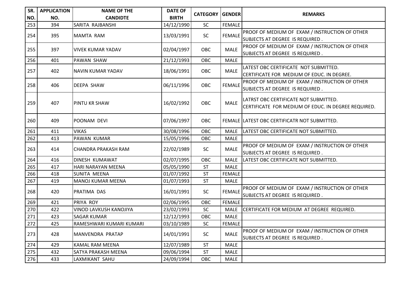| SR. | <b>APPLICATION</b> | <b>NAME OF THE</b>         | <b>DATE OF</b> | <b>CATEGORY GENDER</b> |               | <b>REMARKS</b>                                      |
|-----|--------------------|----------------------------|----------------|------------------------|---------------|-----------------------------------------------------|
| NO. | NO.                | <b>CANDIDTE</b>            | <b>BIRTH</b>   |                        |               |                                                     |
| 253 | 394                | SARITA RAJBANSHI           | 14/12/1990     | SC                     | <b>FEMALE</b> |                                                     |
| 254 | 395                | MAMTA RAM                  | 13/03/1991     | SC                     | <b>FEMALE</b> | PROOF OF MEDIUM OF EXAM / INSTRUCTION OF OTHER      |
|     |                    |                            |                |                        |               | SUBJECTS AT DEGREE IS REQUIRED.                     |
| 255 | 397                | VIVEK KUMAR YADAV          | 02/04/1997     | <b>OBC</b>             | <b>MALE</b>   | PROOF OF MEDIUM OF EXAM / INSTRUCTION OF OTHER      |
|     |                    |                            |                |                        |               | SUBJECTS AT DEGREE IS REQUIRED.                     |
| 256 | 401                | PAWAN SHAW                 | 21/12/1993     | OBC                    | <b>MALE</b>   |                                                     |
| 257 | 402                | NAVIN KUMAR YADAV          | 18/06/1991     | OBC                    | <b>MALE</b>   | LATEST OBC CERTIFICATE NOT SUBMITTED.               |
|     |                    |                            |                |                        |               | CERTIFICATE FOR MEDIUM OF EDUC. IN DEGREE.          |
| 258 | 406                | <b>DEEPA SHAW</b>          | 06/11/1996     | <b>OBC</b>             | <b>FEMALE</b> | PROOF OF MEDIUM OF EXAM / INSTRUCTION OF OTHER      |
|     |                    |                            |                |                        |               | SUBJECTS AT DEGREE IS REQUIRED.                     |
|     |                    |                            |                |                        |               | LATRST OBC CERTIFICATE NOT SUBMITTED.               |
| 259 | 407                | <b>PINTU KR SHAW</b>       | 16/02/1992     | OBC                    | <b>MALE</b>   | CERTIFICATE FOR MEDIUM OF EDUC. IN DEGREE REQUIRED. |
|     |                    |                            |                |                        |               |                                                     |
| 260 | 409                | IPOONAM DEVI               | 07/06/1997     | <b>OBC</b>             |               | FEMALE ILATEST OBC CERTIFICATR NOT SUBMITTED.       |
|     |                    |                            |                |                        |               |                                                     |
| 261 | 411                | <b>VIKAS</b>               | 30/08/1996     | OBC                    | <b>MALE</b>   | LATEST OBC CERTIFICATE NOT SUBMITTED.               |
| 262 | 413                | PAWAN KUMAR                | 15/05/1996     | OBC                    | MALE          |                                                     |
| 263 | 414                | CHANDRA PRAKASH RAM        | 22/02/1989     | SC                     | MALE          | PROOF OF MEDIUM OF EXAM / INSTRUCTION OF OTHER      |
|     |                    |                            |                |                        |               | SUBJECTS AT DEGREE IS REQUIRED.                     |
| 264 | 416                | <b>DINESH KUMAWAT</b>      | 02/07/1995     | OBC                    | <b>MALE</b>   | LATEST OBC CERTIFICATE NOT SUBMITTED.               |
| 265 | 417                | <b>HARI NARAYAN MEENA</b>  | 05/05/1990     | <b>ST</b>              | <b>MALE</b>   |                                                     |
| 266 | 418                | SUNITA MEENA               | 01/07/1992     | <b>ST</b>              | <b>FEMALE</b> |                                                     |
| 267 | 419                | MANOJ KUMAR MEENA          | 01/07/1993     | <b>ST</b>              | <b>MALE</b>   |                                                     |
| 268 | 420                | <b>PRATIMA DAS</b>         | 16/01/1991     | SC                     | <b>FEMALE</b> | PROOF OF MEDIUM OF EXAM / INSTRUCTION OF OTHER      |
|     |                    |                            |                |                        |               | SUBJECTS AT DEGREE IS REQUIRED.                     |
| 269 | 421                | PRIYA ROY                  | 02/06/1995     | OBC                    | <b>FEMALE</b> |                                                     |
| 270 | 422                | VINOD LAVKUSH KANOJIYA     | 23/02/1993     | SC                     | <b>MALE</b>   | CERTIFICATE FOR MEDIUM AT DEGREE REQUIRED.          |
| 271 | 423                | <b>SAGAR KUMAR</b>         | 12/12/1993     | OBC                    | <b>MALE</b>   |                                                     |
| 272 | 425                | RAMESHWARI KUMARI KUMARI   | 03/10/1989     | SC                     | <b>FEMALE</b> |                                                     |
| 273 | 428                | MANVENDRA PRATAP           | 14/01/1991     | <b>SC</b>              | <b>MALE</b>   | PROOF OF MEDIUM OF EXAM / INSTRUCTION OF OTHER      |
|     |                    |                            |                |                        |               | SUBJECTS AT DEGREE IS REQUIRED.                     |
| 274 | 429                | <b>KAMAL RAM MEENA</b>     | 12/07/1989     | <b>ST</b>              | <b>MALE</b>   |                                                     |
| 275 | 432                | <b>SATYA PRAKASH MEENA</b> | 09/06/1994     | <b>ST</b>              | <b>MALE</b>   |                                                     |
| 276 | 433                | LAXMIKANT SAHU             | 24/09/1994     | <b>OBC</b>             | <b>MALE</b>   |                                                     |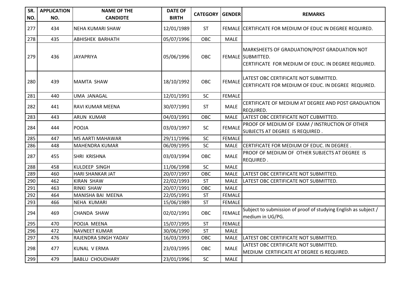| SR.<br>NO. | <b>APPLICATION</b><br>NO. | <b>NAME OF THE</b><br><b>CANDIDTE</b> | <b>DATE OF</b><br><b>BIRTH</b> | <b>CATEGORY</b> | <b>IGENDER</b> | <b>REMARKS</b>                                                                                                           |
|------------|---------------------------|---------------------------------------|--------------------------------|-----------------|----------------|--------------------------------------------------------------------------------------------------------------------------|
| 277        | 434                       | INEHA KUMARI SHAW                     | 12/01/1989                     | <b>ST</b>       |                | FEMALE CERTIFICATE FOR MEDIUM OF EDUC IN DEGREE REQUIRED.                                                                |
| 278        | 435                       | <b>ABHISHEK BARHATH</b>               | 05/07/1996                     | OBC             | <b>MALE</b>    |                                                                                                                          |
| 279        | 436                       | <b>JAYAPRIYA</b>                      | 05/06/1996                     | <b>OBC</b>      |                | MARKSHEETS OF GRADUATION/POST GRADUATION NOT<br>FEMALE SUBMITTED.<br>CERTIFICATE FOR MEDIUM OF EDUC. IN DEGREE REQUIRED. |
| 280        | 439                       | <b>MAMTA SHAW</b>                     | 18/10/1992                     | <b>OBC</b>      | <b>FEMALE</b>  | LATEST OBC CERTIFICATE NOT SUBMITTED.<br>CERTIFICATE FOR MEDIUM OF EDUC. IN DEGREE REQUIRED.                             |
| 281        | 440                       | UMA JANAGAL                           | 12/01/1991                     | SC              | <b>FEMALE</b>  |                                                                                                                          |
| 282        | 441                       | RAVI KUMAR MEENA                      | 30/07/1991                     | <b>ST</b>       | <b>MALE</b>    | CERTIFICATE OF MEDIUM AT DEGREE AND POST GRADUATION<br>REQUIRED.                                                         |
| 283        | 443                       | <b>ARUN KUMAR</b>                     | 04/03/1991                     | OBC             | <b>MALE</b>    | LATEST OBC CERTIFICATE NOT CUBMITTED.                                                                                    |
| 284        | 444                       | POOJA                                 | 03/03/1997                     | <b>SC</b>       | <b>FEMALE</b>  | PROOF OF MEDIUM OF EXAM / INSTRUCTION OF OTHER<br>SUBJECTS AT DEGREE IS REQUIRED.                                        |
| 285        | 447                       | <b>MS AARTI MAHAWAR</b>               | 29/11/1996                     | SC              | <b>FEMALE</b>  |                                                                                                                          |
| 286        | 448                       | <b>MAHENDRA KUMAR</b>                 | 06/09/1995                     | <b>SC</b>       | <b>MALE</b>    | CERTIFICATE FOR MEDIUM OF EDUC. IN DEGREE.                                                                               |
| 287        | 455                       | SHRI KRISHNA                          | 03/03/1994                     | <b>OBC</b>      | <b>MALE</b>    | PROOF OF MEDIUM OF OTHER SUBJECTS AT DEGREE IS<br>REQUIRED.                                                              |
| 288        | 458                       | <b>KULDEEP SINGH</b>                  | 11/06/1998                     | SC              | <b>MALE</b>    |                                                                                                                          |
| 289        | 460                       | <b>HARI SHANKAR JAT</b>               | 20/07/1997                     | OBC             | <b>MALE</b>    | LATEST OBC CERTIFICATE NOT SUBMITTED.                                                                                    |
| 290        | 462                       | <b>KIRAN SHAW</b>                     | 22/02/1993                     | <b>ST</b>       | <b>MALE</b>    | LATEST OBC CERTIFICATE NOT SUBMITTED.                                                                                    |
| 291        | 463                       | <b>RINKI SHAW</b>                     | 20/07/1991                     | OBC             | <b>MALE</b>    |                                                                                                                          |
| 292        | 464                       | MANISHA BAI MEENA                     | 22/05/1991                     | ST              | <b>FEMALE</b>  |                                                                                                                          |
| 293        | 466                       | <b>NEHA KUMARI</b>                    | 15/06/1989                     | <b>ST</b>       | <b>FEMALE</b>  |                                                                                                                          |
| 294        | 469                       | <b>CHANDA SHAW</b>                    | 02/02/1991                     | OBC             | <b>FEMALE</b>  | Subject to submission of proof of studying English as subject /<br>medium in UG/PG.                                      |
| 295        | 470                       | POOJA MEENA                           | 15/07/1995                     | <b>ST</b>       | <b>FEMALE</b>  |                                                                                                                          |
| 296        | 472                       | <b>NAVNEET KUMAR</b>                  | 30/06/1990                     | <b>ST</b>       | <b>MALE</b>    |                                                                                                                          |
| 297        | 476                       | RAJENDRA SINGH YADAV                  | 16/03/1993                     | OBC             | <b>MALE</b>    | LATEST OBC CERTIFICATE NOT SUBMITTED.                                                                                    |
| 298        | 477                       | KUNAL V ERMA                          | 23/03/1995                     | <b>OBC</b>      | <b>MALE</b>    | LATEST OBC CERTIFICATE NOT SUBMITTED.<br>MEDIUM CERTIFICATE AT DEGREE IS REQUIRED.                                       |
| 299        | 479                       | <b>BABLU CHOUDHARY</b>                | 23/01/1996                     | SC              | <b>MALE</b>    |                                                                                                                          |